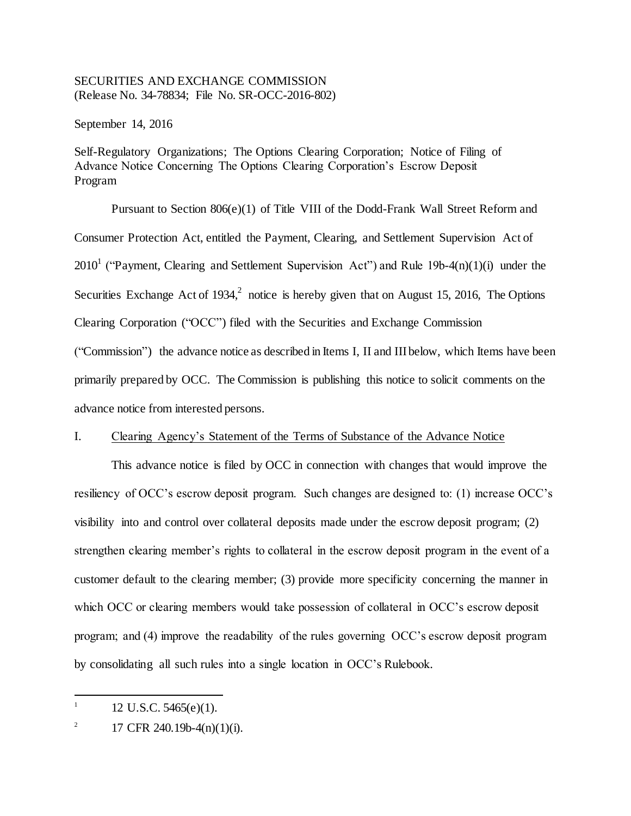# SECURITIES AND EXCHANGE COMMISSION (Release No. 34-78834; File No. SR-OCC-2016-802)

September 14, 2016

Self-Regulatory Organizations; The Options Clearing Corporation; Notice of Filing of Advance Notice Concerning The Options Clearing Corporation's Escrow Deposit Program

Pursuant to Section 806(e)(1) of Title VIII of the Dodd-Frank Wall Street Reform and Consumer Protection Act, entitled the Payment, Clearing, and Settlement Supervision Act of 2010<sup>1</sup> ("Payment, Clearing and Settlement Supervision Act") and Rule 19b-4 $(n)(1)(i)$  under the Securities Exchange Act of 1934, $^2$  notice is hereby given that on August 15, 2016, The Options Clearing Corporation ("OCC") filed with the Securities and Exchange Commission ("Commission") the advance notice as described in Items I, II and III below, which Items have been primarily prepared by OCC. The Commission is publishing this notice to solicit comments on the advance notice from interested persons.

# I. Clearing Agency's Statement of the Terms of Substance of the Advance Notice

This advance notice is filed by OCC in connection with changes that would improve the resiliency of OCC's escrow deposit program. Such changes are designed to: (1) increase OCC's visibility into and control over collateral deposits made under the escrow deposit program; (2) strengthen clearing member's rights to collateral in the escrow deposit program in the event of a customer default to the clearing member; (3) provide more specificity concerning the manner in which OCC or clearing members would take possession of collateral in OCC's escrow deposit program; and (4) improve the readability of the rules governing OCC's escrow deposit program by consolidating all such rules into a single location in OCC's Rulebook.

j

<sup>1</sup> 12 U.S.C. 5465(e)(1).

<sup>2</sup> 17 CFR 240.19b-4(n)(1)(i).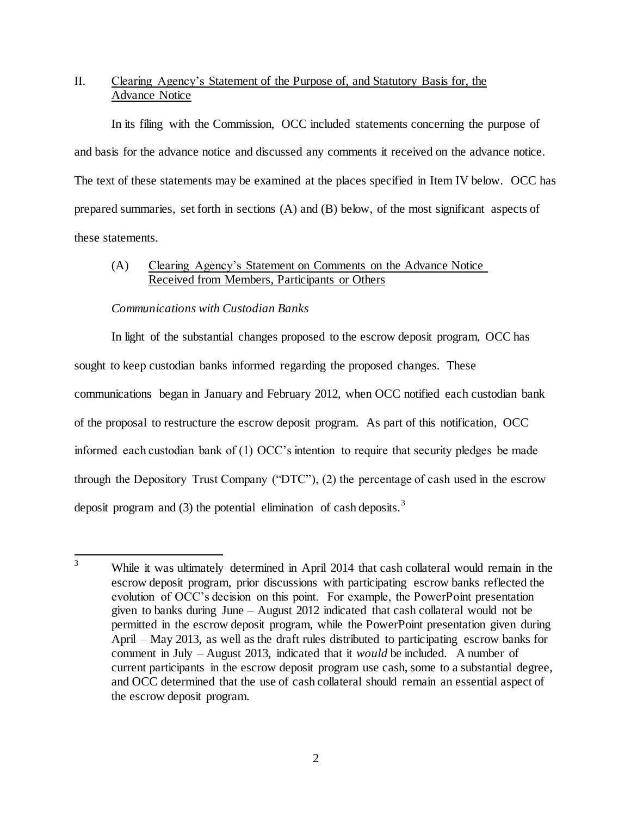# II. Clearing Agency's Statement of the Purpose of, and Statutory Basis for, the Advance Notice

In its filing with the Commission, OCC included statements concerning the purpose of and basis for the advance notice and discussed any comments it received on the advance notice. The text of these statements may be examined at the places specified in Item IV below. OCC has prepared summaries, set forth in sections (A) and (B) below, of the most significant aspects of these statements.

# (A) Clearing Agency's Statement on Comments on the Advance Notice Received from Members, Participants or Others

# *Communications with Custodian Banks*

In light of the substantial changes proposed to the escrow deposit program, OCC has sought to keep custodian banks informed regarding the proposed changes. These communications began in January and February 2012, when OCC notified each custodian bank of the proposal to restructure the escrow deposit program. As part of this notification, OCC informed each custodian bank of (1) OCC's intention to require that security pledges be made through the Depository Trust Company ("DTC"), (2) the percentage of cash used in the escrow deposit program and (3) the potential elimination of cash deposits.<sup>3</sup>

 $\overline{3}$ While it was ultimately determined in April 2014 that cash collateral would remain in the escrow deposit program, prior discussions with participating escrow banks reflected the evolution of OCC's decision on this point. For example, the PowerPoint presentation given to banks during June – August 2012 indicated that cash collateral would not be permitted in the escrow deposit program, while the PowerPoint presentation given during April – May 2013, as well as the draft rules distributed to participating escrow banks for comment in July – August 2013, indicated that it *would* be included. A number of current participants in the escrow deposit program use cash, some to a substantial degree, and OCC determined that the use of cash collateral should remain an essential aspect of the escrow deposit program.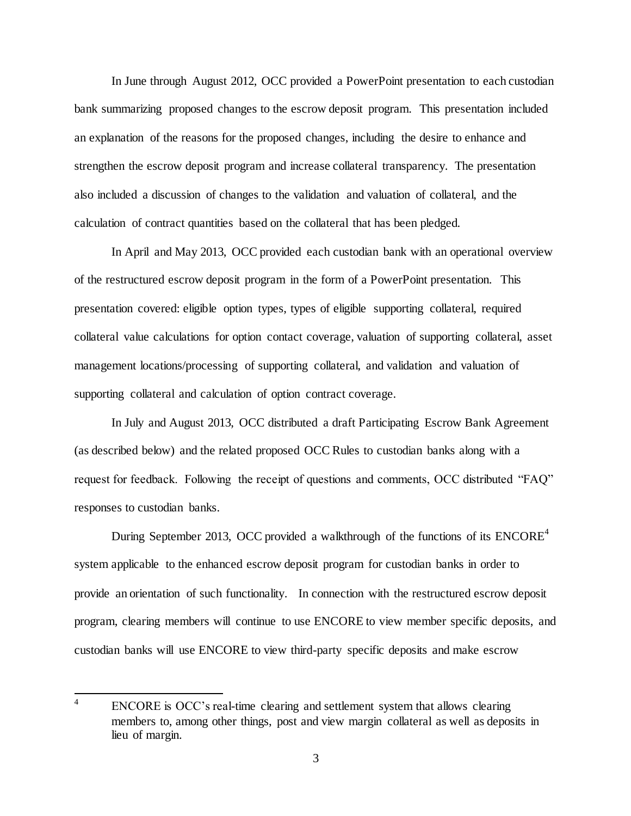In June through August 2012, OCC provided a PowerPoint presentation to each custodian bank summarizing proposed changes to the escrow deposit program. This presentation included an explanation of the reasons for the proposed changes, including the desire to enhance and strengthen the escrow deposit program and increase collateral transparency. The presentation also included a discussion of changes to the validation and valuation of collateral, and the calculation of contract quantities based on the collateral that has been pledged.

In April and May 2013, OCC provided each custodian bank with an operational overview of the restructured escrow deposit program in the form of a PowerPoint presentation. This presentation covered: eligible option types, types of eligible supporting collateral, required collateral value calculations for option contact coverage, valuation of supporting collateral, asset management locations/processing of supporting collateral, and validation and valuation of supporting collateral and calculation of option contract coverage.

In July and August 2013, OCC distributed a draft Participating Escrow Bank Agreement (as described below) and the related proposed OCC Rules to custodian banks along with a request for feedback. Following the receipt of questions and comments, OCC distributed "FAQ" responses to custodian banks.

During September 2013, OCC provided a walkthrough of the functions of its  $ENCORE<sup>4</sup>$ system applicable to the enhanced escrow deposit program for custodian banks in order to provide an orientation of such functionality. In connection with the restructured escrow deposit program, clearing members will continue to use ENCORE to view member specific deposits, and custodian banks will use ENCORE to view third-party specific deposits and make escrow

 4 ENCORE is OCC's real-time clearing and settlement system that allows clearing members to, among other things, post and view margin collateral as well as deposits in lieu of margin.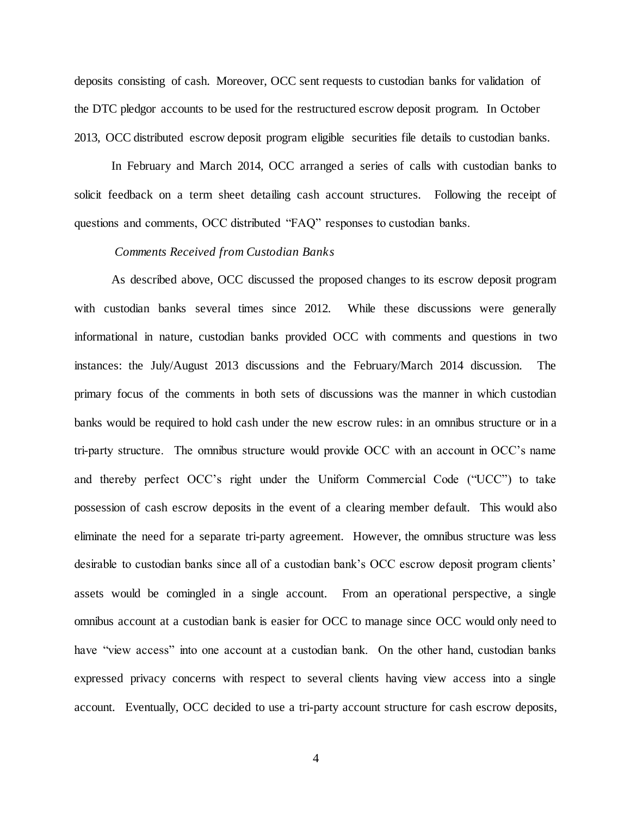deposits consisting of cash. Moreover, OCC sent requests to custodian banks for validation of the DTC pledgor accounts to be used for the restructured escrow deposit program. In October 2013, OCC distributed escrow deposit program eligible securities file details to custodian banks.

In February and March 2014, OCC arranged a series of calls with custodian banks to solicit feedback on a term sheet detailing cash account structures. Following the receipt of questions and comments, OCC distributed "FAQ" responses to custodian banks.

### *Comments Received from Custodian Banks*

As described above, OCC discussed the proposed changes to its escrow deposit program with custodian banks several times since 2012. While these discussions were generally informational in nature, custodian banks provided OCC with comments and questions in two instances: the July/August 2013 discussions and the February/March 2014 discussion. The primary focus of the comments in both sets of discussions was the manner in which custodian banks would be required to hold cash under the new escrow rules: in an omnibus structure or in a tri-party structure. The omnibus structure would provide OCC with an account in OCC's name and thereby perfect OCC's right under the Uniform Commercial Code ("UCC") to take possession of cash escrow deposits in the event of a clearing member default. This would also eliminate the need for a separate tri-party agreement. However, the omnibus structure was less desirable to custodian banks since all of a custodian bank's OCC escrow deposit program clients' assets would be comingled in a single account. From an operational perspective, a single omnibus account at a custodian bank is easier for OCC to manage since OCC would only need to have "view access" into one account at a custodian bank. On the other hand, custodian banks expressed privacy concerns with respect to several clients having view access into a single account. Eventually, OCC decided to use a tri-party account structure for cash escrow deposits,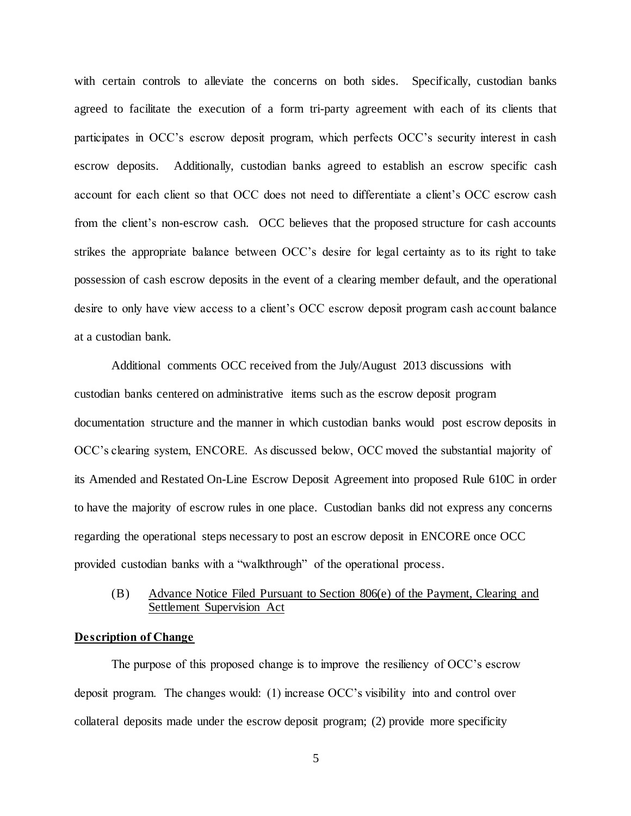with certain controls to alleviate the concerns on both sides. Specifically, custodian banks agreed to facilitate the execution of a form tri-party agreement with each of its clients that participates in OCC's escrow deposit program, which perfects OCC's security interest in cash escrow deposits. Additionally, custodian banks agreed to establish an escrow specific cash account for each client so that OCC does not need to differentiate a client's OCC escrow cash from the client's non-escrow cash. OCC believes that the proposed structure for cash accounts strikes the appropriate balance between OCC's desire for legal certainty as to its right to take possession of cash escrow deposits in the event of a clearing member default, and the operational desire to only have view access to a client's OCC escrow deposit program cash account balance at a custodian bank.

Additional comments OCC received from the July/August 2013 discussions with custodian banks centered on administrative items such as the escrow deposit program documentation structure and the manner in which custodian banks would post escrow deposits in OCC's clearing system, ENCORE. As discussed below, OCC moved the substantial majority of its Amended and Restated On-Line Escrow Deposit Agreement into proposed Rule 610C in order to have the majority of escrow rules in one place. Custodian banks did not express any concerns regarding the operational steps necessary to post an escrow deposit in ENCORE once OCC provided custodian banks with a "walkthrough" of the operational process.

# (B) Advance Notice Filed Pursuant to Section 806(e) of the Payment, Clearing and Settlement Supervision Act

### **Description of Change**

The purpose of this proposed change is to improve the resiliency of OCC's escrow deposit program. The changes would: (1) increase OCC's visibility into and control over collateral deposits made under the escrow deposit program; (2) provide more specificity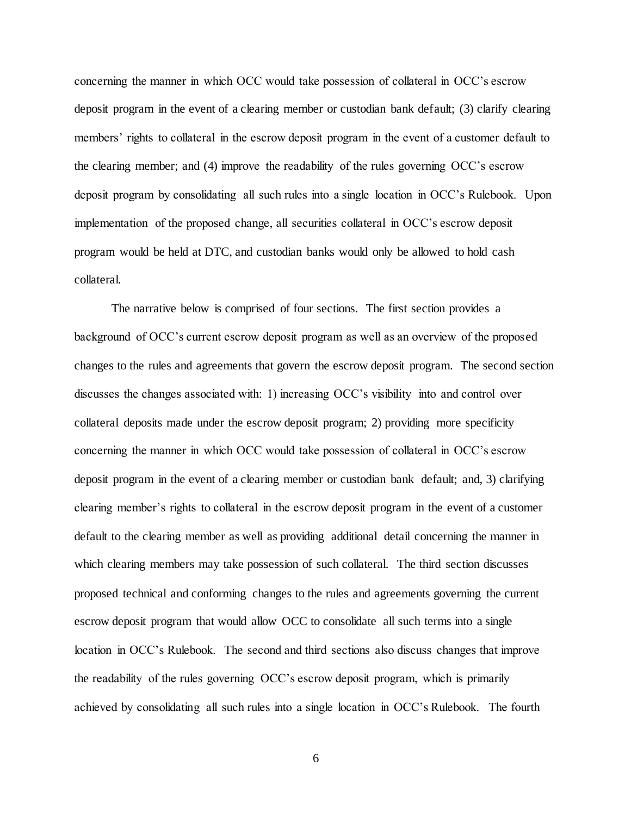concerning the manner in which OCC would take possession of collateral in OCC's escrow deposit program in the event of a clearing member or custodian bank default; (3) clarify clearing members' rights to collateral in the escrow deposit program in the event of a customer default to the clearing member; and (4) improve the readability of the rules governing OCC's escrow deposit program by consolidating all such rules into a single location in OCC's Rulebook. Upon implementation of the proposed change, all securities collateral in OCC's escrow deposit program would be held at DTC, and custodian banks would only be allowed to hold cash collateral.

The narrative below is comprised of four sections. The first section provides a background of OCC's current escrow deposit program as well as an overview of the proposed changes to the rules and agreements that govern the escrow deposit program. The second section discusses the changes associated with: 1) increasing OCC's visibility into and control over collateral deposits made under the escrow deposit program; 2) providing more specificity concerning the manner in which OCC would take possession of collateral in OCC's escrow deposit program in the event of a clearing member or custodian bank default; and, 3) clarifying clearing member's rights to collateral in the escrow deposit program in the event of a customer default to the clearing member as well as providing additional detail concerning the manner in which clearing members may take possession of such collateral. The third section discusses proposed technical and conforming changes to the rules and agreements governing the current escrow deposit program that would allow OCC to consolidate all such terms into a single location in OCC's Rulebook. The second and third sections also discuss changes that improve the readability of the rules governing OCC's escrow deposit program, which is primarily achieved by consolidating all such rules into a single location in OCC's Rulebook. The fourth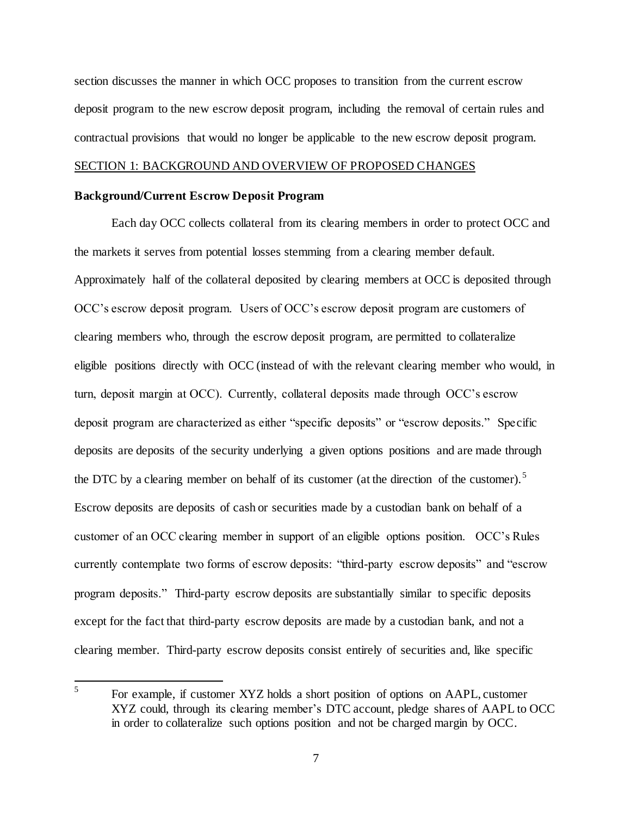section discusses the manner in which OCC proposes to transition from the current escrow deposit program to the new escrow deposit program, including the removal of certain rules and contractual provisions that would no longer be applicable to the new escrow deposit program.

## SECTION 1: BACKGROUND AND OVERVIEW OF PROPOSED CHANGES

### **Background/Current Escrow Deposit Program**

Each day OCC collects collateral from its clearing members in order to protect OCC and the markets it serves from potential losses stemming from a clearing member default. Approximately half of the collateral deposited by clearing members at OCC is deposited through OCC's escrow deposit program. Users of OCC's escrow deposit program are customers of clearing members who, through the escrow deposit program, are permitted to collateralize eligible positions directly with OCC (instead of with the relevant clearing member who would, in turn, deposit margin at OCC). Currently, collateral deposits made through OCC's escrow deposit program are characterized as either "specific deposits" or "escrow deposits." Specific deposits are deposits of the security underlying a given options positions and are made through the DTC by a clearing member on behalf of its customer (at the direction of the customer).<sup>5</sup> Escrow deposits are deposits of cash or securities made by a custodian bank on behalf of a customer of an OCC clearing member in support of an eligible options position. OCC's Rules currently contemplate two forms of escrow deposits: "third-party escrow deposits" and "escrow program deposits." Third-party escrow deposits are substantially similar to specific deposits except for the fact that third-party escrow deposits are made by a custodian bank, and not a clearing member. Third-party escrow deposits consist entirely of securities and, like specific

 5 For example, if customer XYZ holds a short position of options on AAPL, customer XYZ could, through its clearing member's DTC account, pledge shares of AAPL to OCC in order to collateralize such options position and not be charged margin by OCC.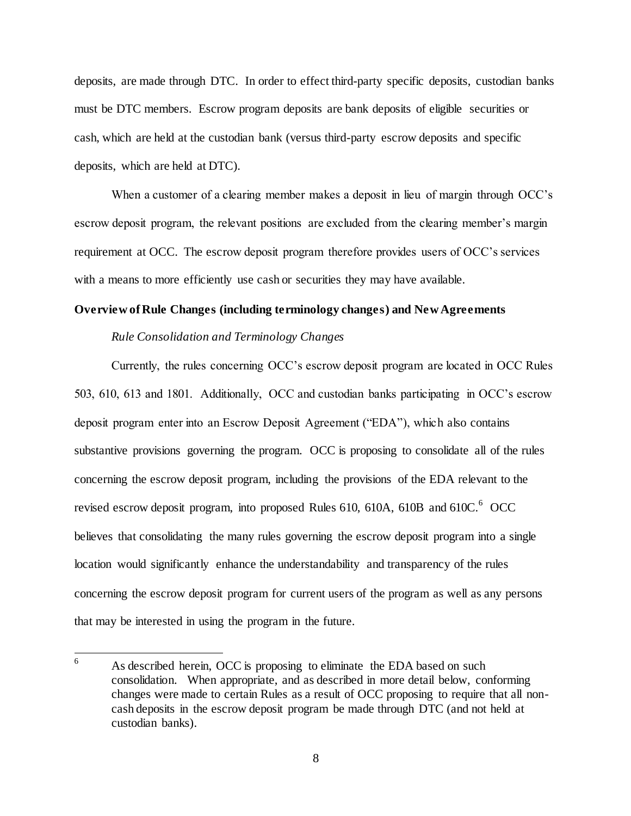deposits, are made through DTC. In order to effect third-party specific deposits, custodian banks must be DTC members. Escrow program deposits are bank deposits of eligible securities or cash, which are held at the custodian bank (versus third-party escrow deposits and specific deposits, which are held at DTC).

When a customer of a clearing member makes a deposit in lieu of margin through OCC's escrow deposit program, the relevant positions are excluded from the clearing member's margin requirement at OCC. The escrow deposit program therefore provides users of OCC's services with a means to more efficiently use cash or securities they may have available.

## **Overview of Rule Changes (including terminology changes) and New Agreements**

## *Rule Consolidation and Terminology Changes*

Currently, the rules concerning OCC's escrow deposit program are located in OCC Rules 503, 610, 613 and 1801. Additionally, OCC and custodian banks participating in OCC's escrow deposit program enter into an Escrow Deposit Agreement ("EDA"), which also contains substantive provisions governing the program. OCC is proposing to consolidate all of the rules concerning the escrow deposit program, including the provisions of the EDA relevant to the revised escrow deposit program, into proposed Rules 610, 610A, 610B and 610C. $6^{\circ}$  OCC believes that consolidating the many rules governing the escrow deposit program into a single location would significantly enhance the understandability and transparency of the rules concerning the escrow deposit program for current users of the program as well as any persons that may be interested in using the program in the future.

<sup>6</sup> As described herein, OCC is proposing to eliminate the EDA based on such consolidation. When appropriate, and as described in more detail below, conforming changes were made to certain Rules as a result of OCC proposing to require that all noncash deposits in the escrow deposit program be made through DTC (and not held at custodian banks).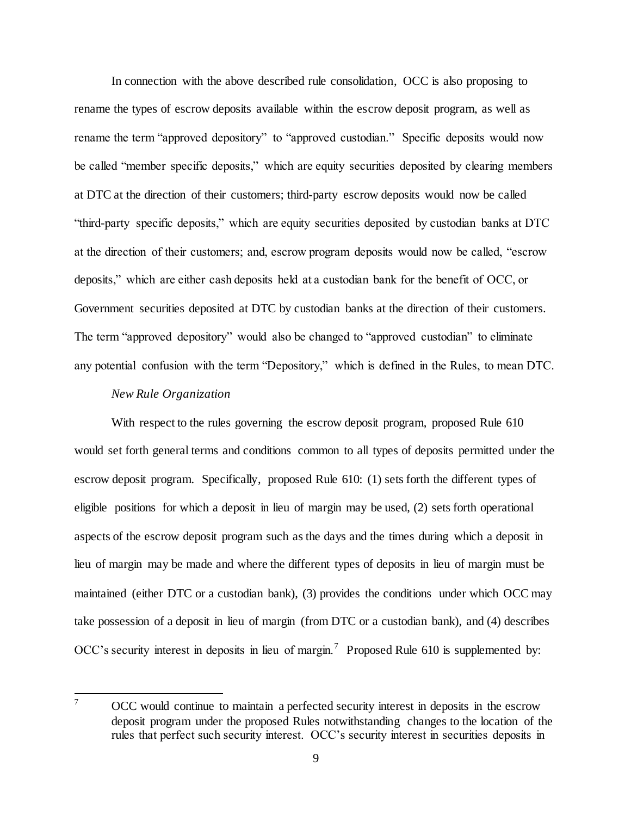In connection with the above described rule consolidation, OCC is also proposing to rename the types of escrow deposits available within the escrow deposit program, as well as rename the term "approved depository" to "approved custodian." Specific deposits would now be called "member specific deposits," which are equity securities deposited by clearing members at DTC at the direction of their customers; third-party escrow deposits would now be called "third-party specific deposits," which are equity securities deposited by custodian banks at DTC at the direction of their customers; and, escrow program deposits would now be called, "escrow deposits," which are either cash deposits held at a custodian bank for the benefit of OCC, or Government securities deposited at DTC by custodian banks at the direction of their customers. The term "approved depository" would also be changed to "approved custodian" to eliminate any potential confusion with the term "Depository," which is defined in the Rules, to mean DTC.

# *New Rule Organization*

With respect to the rules governing the escrow deposit program, proposed Rule 610 would set forth general terms and conditions common to all types of deposits permitted under the escrow deposit program. Specifically, proposed Rule 610: (1) sets forth the different types of eligible positions for which a deposit in lieu of margin may be used, (2) sets forth operational aspects of the escrow deposit program such as the days and the times during which a deposit in lieu of margin may be made and where the different types of deposits in lieu of margin must be maintained (either DTC or a custodian bank), (3) provides the conditions under which OCC may take possession of a deposit in lieu of margin (from DTC or a custodian bank), and (4) describes OCC's security interest in deposits in lieu of margin.<sup>7</sup> Proposed Rule 610 is supplemented by:

 $\overline{7}$ <sup>7</sup> OCC would continue to maintain a perfected security interest in deposits in the escrow deposit program under the proposed Rules notwithstanding changes to the location of the rules that perfect such security interest. OCC's security interest in securities deposits in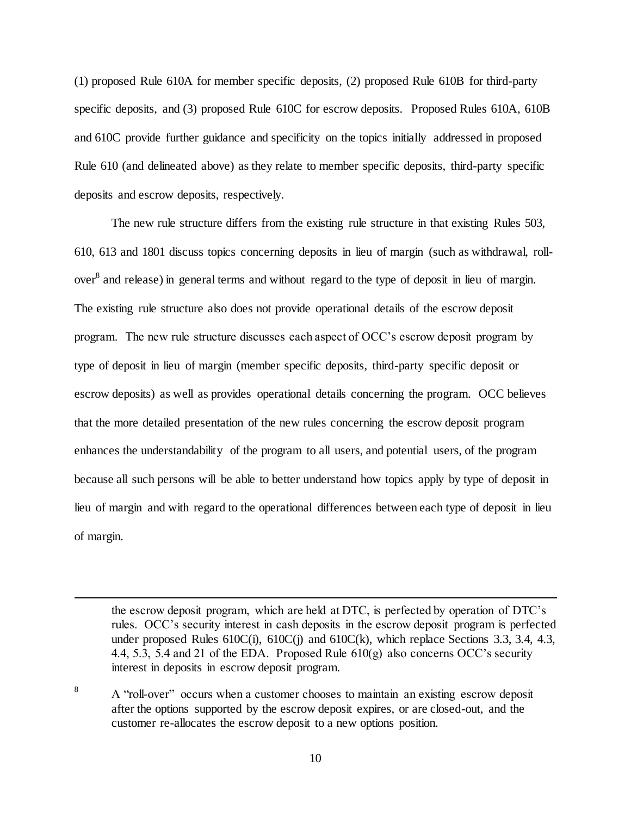(1) proposed Rule 610A for member specific deposits, (2) proposed Rule 610B for third-party specific deposits, and (3) proposed Rule 610C for escrow deposits. Proposed Rules 610A, 610B and 610C provide further guidance and specificity on the topics initially addressed in proposed Rule 610 (and delineated above) as they relate to member specific deposits, third-party specific deposits and escrow deposits, respectively.

The new rule structure differs from the existing rule structure in that existing Rules 503, 610, 613 and 1801 discuss topics concerning deposits in lieu of margin (such as withdrawal, rollover<sup>8</sup> and release) in general terms and without regard to the type of deposit in lieu of margin. The existing rule structure also does not provide operational details of the escrow deposit program. The new rule structure discusses each aspect of OCC's escrow deposit program by type of deposit in lieu of margin (member specific deposits, third-party specific deposit or escrow deposits) as well as provides operational details concerning the program. OCC believes that the more detailed presentation of the new rules concerning the escrow deposit program enhances the understandability of the program to all users, and potential users, of the program because all such persons will be able to better understand how topics apply by type of deposit in lieu of margin and with regard to the operational differences between each type of deposit in lieu of margin.

the escrow deposit program, which are held at DTC, is perfected by operation of DTC's rules. OCC's security interest in cash deposits in the escrow deposit program is perfected under proposed Rules  $610C(i)$ ,  $610C(i)$  and  $610C(k)$ , which replace Sections 3.3, 3.4, 4.3, 4.4, 5.3, 5.4 and 21 of the EDA. Proposed Rule 610(g) also concerns OCC's security interest in deposits in escrow deposit program.

<sup>8</sup> A "roll-over" occurs when a customer chooses to maintain an existing escrow deposit after the options supported by the escrow deposit expires, or are closed-out, and the customer re-allocates the escrow deposit to a new options position.

j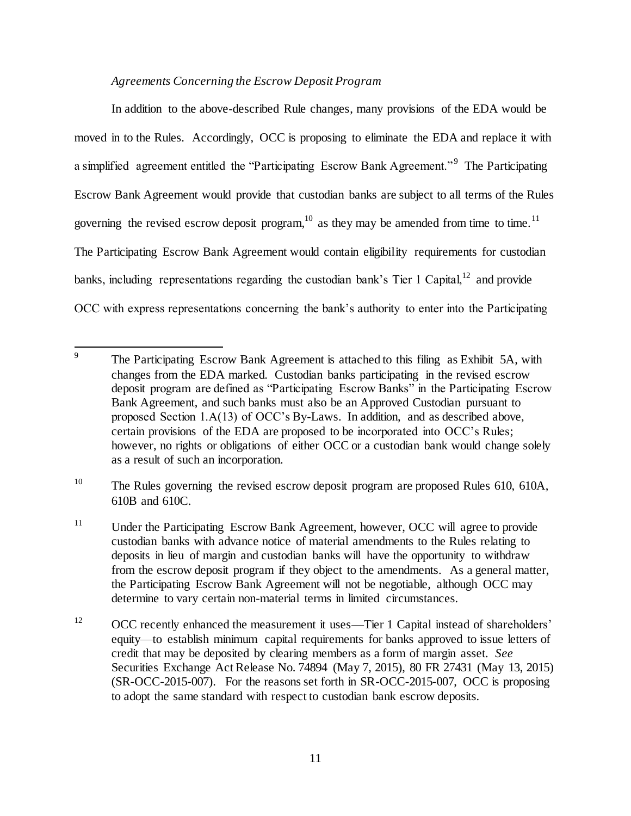# *Agreements Concerning the Escrow Deposit Program*

In addition to the above-described Rule changes, many provisions of the EDA would be moved in to the Rules. Accordingly, OCC is proposing to eliminate the EDA and replace it with a simplified agreement entitled the "Participating Escrow Bank Agreement."<sup>9</sup> The Participating Escrow Bank Agreement would provide that custodian banks are subject to all terms of the Rules governing the revised escrow deposit program,  $10^{\circ}$  as they may be amended from time to time.  $11^{\circ}$ The Participating Escrow Bank Agreement would contain eligibility requirements for custodian banks, including representations regarding the custodian bank's Tier 1 Capital,  $12^2$  and provide OCC with express representations concerning the bank's authority to enter into the Participating

<sup>10</sup> The Rules governing the revised escrow deposit program are proposed Rules 610, 610A, 610B and 610C.

 9 The Participating Escrow Bank Agreement is attached to this filing as Exhibit 5A, with changes from the EDA marked. Custodian banks participating in the revised escrow deposit program are defined as "Participating Escrow Banks" in the Participating Escrow Bank Agreement, and such banks must also be an Approved Custodian pursuant to proposed Section 1.A(13) of OCC's By-Laws. In addition, and as described above, certain provisions of the EDA are proposed to be incorporated into OCC's Rules; however, no rights or obligations of either OCC or a custodian bank would change solely as a result of such an incorporation.

<sup>&</sup>lt;sup>11</sup> Under the Participating Escrow Bank Agreement, however, OCC will agree to provide custodian banks with advance notice of material amendments to the Rules relating to deposits in lieu of margin and custodian banks will have the opportunity to withdraw from the escrow deposit program if they object to the amendments. As a general matter, the Participating Escrow Bank Agreement will not be negotiable, although OCC may determine to vary certain non-material terms in limited circumstances.

<sup>&</sup>lt;sup>12</sup> OCC recently enhanced the measurement it uses—Tier 1 Capital instead of shareholders' equity—to establish minimum capital requirements for banks approved to issue letters of credit that may be deposited by clearing members as a form of margin asset. *See* Securities Exchange Act Release No. 74894 (May 7, 2015), 80 FR 27431 (May 13, 2015) (SR-OCC-2015-007). For the reasons set forth in SR-OCC-2015-007, OCC is proposing to adopt the same standard with respect to custodian bank escrow deposits.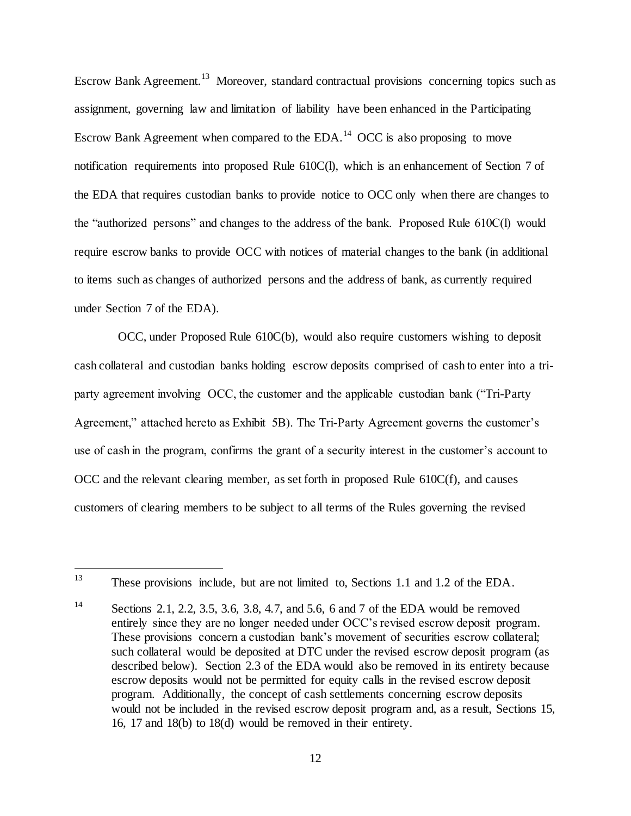Escrow Bank Agreement.<sup>13</sup> Moreover, standard contractual provisions concerning topics such as assignment, governing law and limitation of liability have been enhanced in the Participating Escrow Bank Agreement when compared to the EDA.<sup>14</sup> OCC is also proposing to move notification requirements into proposed Rule 610C(l), which is an enhancement of Section 7 of the EDA that requires custodian banks to provide notice to OCC only when there are changes to the "authorized persons" and changes to the address of the bank. Proposed Rule 610C(l) would require escrow banks to provide OCC with notices of material changes to the bank (in additional to items such as changes of authorized persons and the address of bank, as currently required under Section 7 of the EDA).

 OCC, under Proposed Rule 610C(b), would also require customers wishing to deposit cash collateral and custodian banks holding escrow deposits comprised of cash to enter into a triparty agreement involving OCC, the customer and the applicable custodian bank ("Tri-Party Agreement," attached hereto as Exhibit 5B). The Tri-Party Agreement governs the customer's use of cash in the program, confirms the grant of a security interest in the customer's account to  $OCC$  and the relevant clearing member, as set forth in proposed Rule  $610C(f)$ , and causes customers of clearing members to be subject to all terms of the Rules governing the revised

<sup>13</sup> These provisions include, but are not limited to, Sections 1.1 and 1.2 of the EDA.

<sup>&</sup>lt;sup>14</sup> Sections 2.1, 2.2, 3.5, 3.6, 3.8, 4.7, and 5.6, 6 and 7 of the EDA would be removed entirely since they are no longer needed under OCC's revised escrow deposit program. These provisions concern a custodian bank's movement of securities escrow collateral; such collateral would be deposited at DTC under the revised escrow deposit program (as described below). Section 2.3 of the EDA would also be removed in its entirety because escrow deposits would not be permitted for equity calls in the revised escrow deposit program. Additionally, the concept of cash settlements concerning escrow deposits would not be included in the revised escrow deposit program and, as a result, Sections 15, 16, 17 and 18(b) to 18(d) would be removed in their entirety.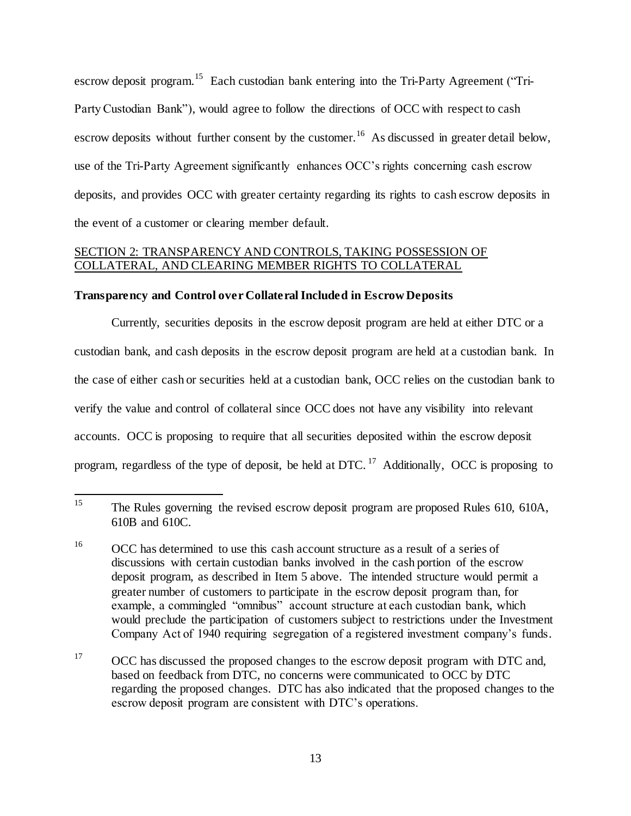escrow deposit program.<sup>15</sup> Each custodian bank entering into the Tri-Party Agreement ("Tri-Party Custodian Bank"), would agree to follow the directions of OCC with respect to cash escrow deposits without further consent by the customer.<sup>16</sup> As discussed in greater detail below, use of the Tri-Party Agreement significantly enhances OCC's rights concerning cash escrow deposits, and provides OCC with greater certainty regarding its rights to cash escrow deposits in the event of a customer or clearing member default.

# SECTION 2: TRANSPARENCY AND CONTROLS, TAKING POSSESSION OF COLLATERAL, AND CLEARING MEMBER RIGHTS TO COLLATERAL

## **Transparency and Control over Collateral Included in Escrow Deposits**

Currently, securities deposits in the escrow deposit program are held at either DTC or a custodian bank, and cash deposits in the escrow deposit program are held at a custodian bank. In the case of either cash or securities held at a custodian bank, OCC relies on the custodian bank to verify the value and control of collateral since OCC does not have any visibility into relevant accounts. OCC is proposing to require that all securities deposited within the escrow deposit program, regardless of the type of deposit, be held at DTC.<sup>17</sup> Additionally, OCC is proposing to

<sup>17</sup> OCC has discussed the proposed changes to the escrow deposit program with DTC and, based on feedback from DTC, no concerns were communicated to OCC by DTC regarding the proposed changes. DTC has also indicated that the proposed changes to the escrow deposit program are consistent with DTC's operations.

<sup>15</sup> <sup>15</sup> The Rules governing the revised escrow deposit program are proposed Rules 610, 610A, 610B and 610C.

<sup>&</sup>lt;sup>16</sup> OCC has determined to use this cash account structure as a result of a series of discussions with certain custodian banks involved in the cash portion of the escrow deposit program, as described in Item 5 above. The intended structure would permit a greater number of customers to participate in the escrow deposit program than, for example, a commingled "omnibus" account structure at each custodian bank, which would preclude the participation of customers subject to restrictions under the Investment Company Act of 1940 requiring segregation of a registered investment company's funds.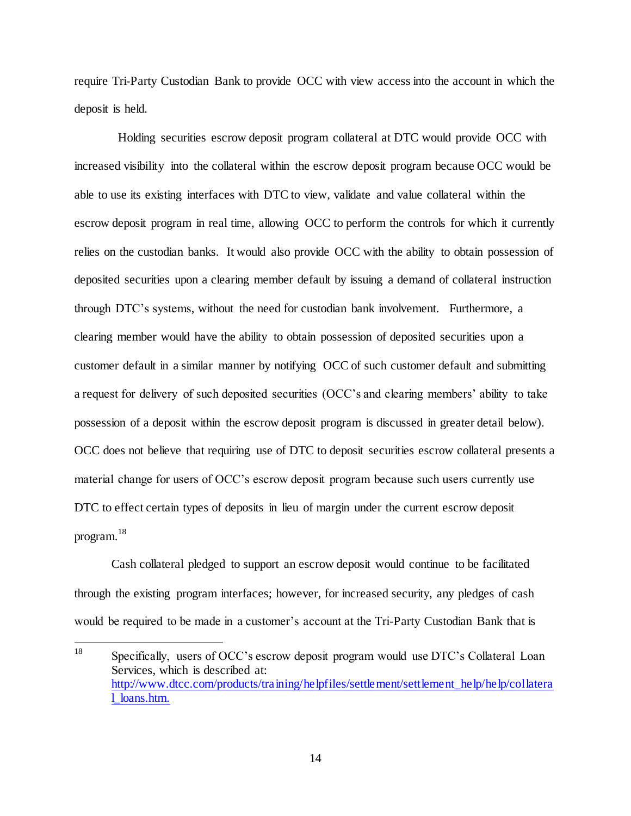require Tri-Party Custodian Bank to provide OCC with view access into the account in which the deposit is held.

 Holding securities escrow deposit program collateral at DTC would provide OCC with increased visibility into the collateral within the escrow deposit program because OCC would be able to use its existing interfaces with DTC to view, validate and value collateral within the escrow deposit program in real time, allowing OCC to perform the controls for which it currently relies on the custodian banks. It would also provide OCC with the ability to obtain possession of deposited securities upon a clearing member default by issuing a demand of collateral instruction through DTC's systems, without the need for custodian bank involvement. Furthermore, a clearing member would have the ability to obtain possession of deposited securities upon a customer default in a similar manner by notifying OCC of such customer default and submitting a request for delivery of such deposited securities (OCC's and clearing members' ability to take possession of a deposit within the escrow deposit program is discussed in greater detail below). OCC does not believe that requiring use of DTC to deposit securities escrow collateral presents a material change for users of OCC's escrow deposit program because such users currently use DTC to effect certain types of deposits in lieu of margin under the current escrow deposit program. 18

Cash collateral pledged to support an escrow deposit would continue to be facilitated through the existing program interfaces; however, for increased security, any pledges of cash would be required to be made in a customer's account at the Tri-Party Custodian Bank that is

<sup>18</sup> Specifically, users of OCC's escrow deposit program would use DTC's Collateral Loan Services, which is described at: [http://www.dtcc.com/products/training/helpfiles/settlement/settlement\\_help/help/collatera](http://www.dtcc.com/products/training/helpfiles/settlement/settlement_help/help/collateral_loans.htm) loans.htm.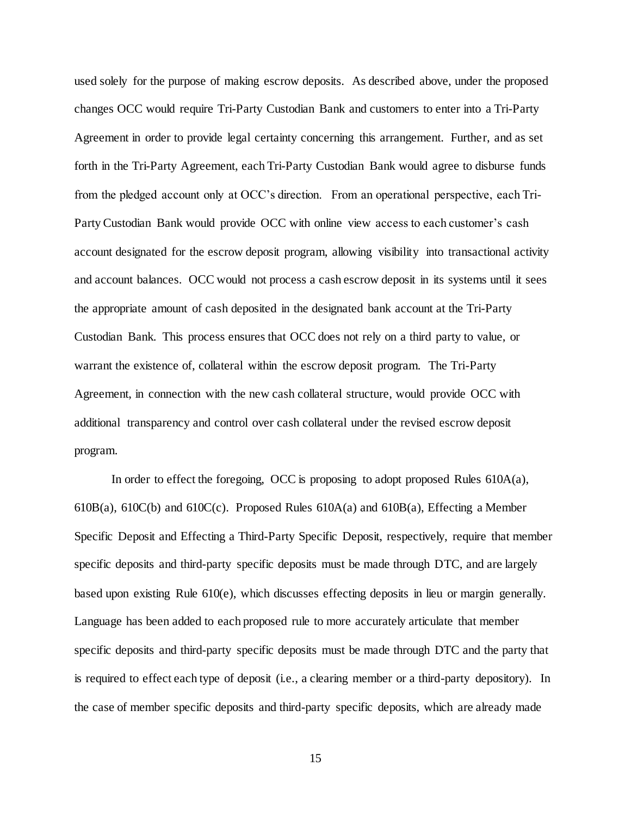used solely for the purpose of making escrow deposits. As described above, under the proposed changes OCC would require Tri-Party Custodian Bank and customers to enter into a Tri-Party Agreement in order to provide legal certainty concerning this arrangement. Further, and as set forth in the Tri-Party Agreement, each Tri-Party Custodian Bank would agree to disburse funds from the pledged account only at OCC's direction. From an operational perspective, each Tri-Party Custodian Bank would provide OCC with online view access to each customer's cash account designated for the escrow deposit program, allowing visibility into transactional activity and account balances. OCC would not process a cash escrow deposit in its systems until it sees the appropriate amount of cash deposited in the designated bank account at the Tri-Party Custodian Bank. This process ensures that OCC does not rely on a third party to value, or warrant the existence of, collateral within the escrow deposit program. The Tri-Party Agreement, in connection with the new cash collateral structure, would provide OCC with additional transparency and control over cash collateral under the revised escrow deposit program.

In order to effect the foregoing, OCC is proposing to adopt proposed Rules 610A(a), 610B(a), 610C(b) and 610C(c). Proposed Rules 610A(a) and 610B(a), Effecting a Member Specific Deposit and Effecting a Third-Party Specific Deposit, respectively, require that member specific deposits and third-party specific deposits must be made through DTC, and are largely based upon existing Rule 610(e), which discusses effecting deposits in lieu or margin generally. Language has been added to each proposed rule to more accurately articulate that member specific deposits and third-party specific deposits must be made through DTC and the party that is required to effect each type of deposit (i.e., a clearing member or a third-party depository). In the case of member specific deposits and third-party specific deposits, which are already made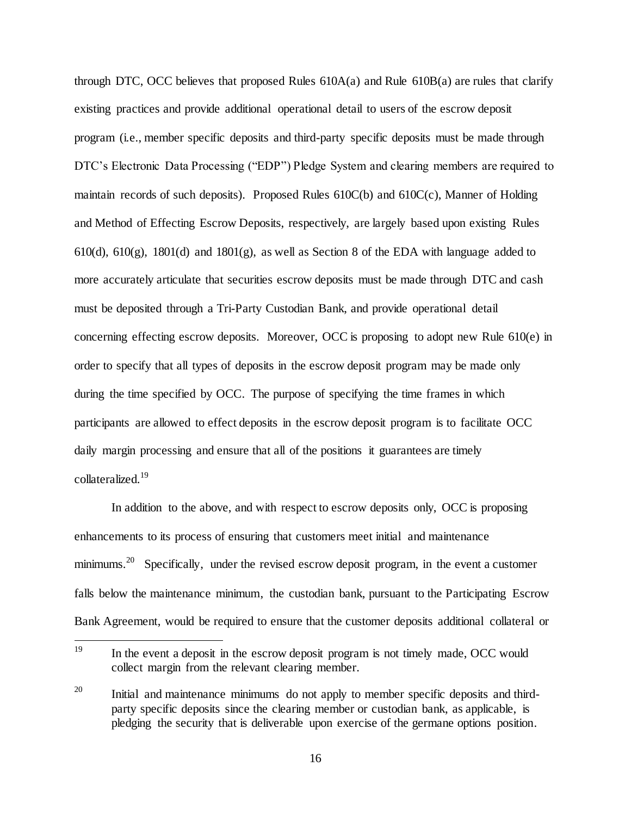through DTC, OCC believes that proposed Rules 610A(a) and Rule 610B(a) are rules that clarify existing practices and provide additional operational detail to users of the escrow deposit program (i.e., member specific deposits and third-party specific deposits must be made through DTC's Electronic Data Processing ("EDP") Pledge System and clearing members are required to maintain records of such deposits). Proposed Rules 610C(b) and 610C(c), Manner of Holding and Method of Effecting Escrow Deposits, respectively, are largely based upon existing Rules 610(d), 610(g), 1801(d) and 1801(g), as well as Section 8 of the EDA with language added to more accurately articulate that securities escrow deposits must be made through DTC and cash must be deposited through a Tri-Party Custodian Bank, and provide operational detail concerning effecting escrow deposits. Moreover, OCC is proposing to adopt new Rule 610(e) in order to specify that all types of deposits in the escrow deposit program may be made only during the time specified by OCC. The purpose of specifying the time frames in which participants are allowed to effect deposits in the escrow deposit program is to facilitate OCC daily margin processing and ensure that all of the positions it guarantees are timely collateralized. 19

In addition to the above, and with respect to escrow deposits only, OCC is proposing enhancements to its process of ensuring that customers meet initial and maintenance minimums.<sup>20</sup> Specifically, under the revised escrow deposit program, in the event a customer falls below the maintenance minimum, the custodian bank, pursuant to the Participating Escrow Bank Agreement, would be required to ensure that the customer deposits additional collateral or

<sup>19</sup> In the event a deposit in the escrow deposit program is not timely made, OCC would collect margin from the relevant clearing member.

 $20$  Initial and maintenance minimums do not apply to member specific deposits and thirdparty specific deposits since the clearing member or custodian bank, as applicable, is pledging the security that is deliverable upon exercise of the germane options position.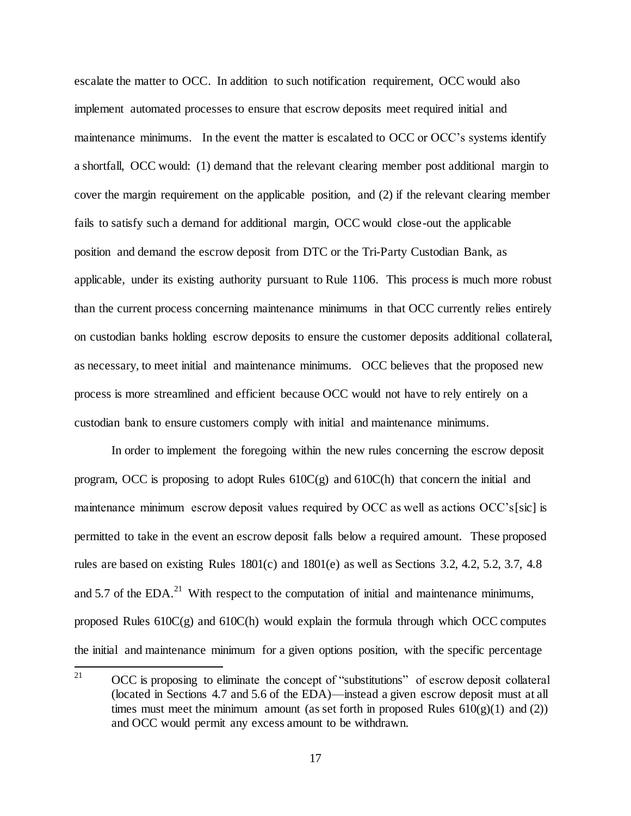escalate the matter to OCC. In addition to such notification requirement, OCC would also implement automated processes to ensure that escrow deposits meet required initial and maintenance minimums. In the event the matter is escalated to OCC or OCC's systems identify a shortfall, OCC would: (1) demand that the relevant clearing member post additional margin to cover the margin requirement on the applicable position, and (2) if the relevant clearing member fails to satisfy such a demand for additional margin, OCC would close-out the applicable position and demand the escrow deposit from DTC or the Tri-Party Custodian Bank, as applicable, under its existing authority pursuant to Rule 1106. This process is much more robust than the current process concerning maintenance minimums in that OCC currently relies entirely on custodian banks holding escrow deposits to ensure the customer deposits additional collateral, as necessary, to meet initial and maintenance minimums. OCC believes that the proposed new process is more streamlined and efficient because OCC would not have to rely entirely on a custodian bank to ensure customers comply with initial and maintenance minimums.

In order to implement the foregoing within the new rules concerning the escrow deposit program, OCC is proposing to adopt Rules  $610C(g)$  and  $610C(h)$  that concern the initial and maintenance minimum escrow deposit values required by OCC as well as actions OCC's[sic] is permitted to take in the event an escrow deposit falls below a required amount. These proposed rules are based on existing Rules 1801(c) and 1801(e) as well as Sections 3.2, 4.2, 5.2, 3.7, 4.8 and 5.7 of the EDA.<sup>21</sup> With respect to the computation of initial and maintenance minimums, proposed Rules 610C(g) and 610C(h) would explain the formula through which OCC computes the initial and maintenance minimum for a given options position, with the specific percentage

<sup>21</sup> OCC is proposing to eliminate the concept of "substitutions" of escrow deposit collateral (located in Sections 4.7 and 5.6 of the EDA)—instead a given escrow deposit must at all times must meet the minimum amount (as set forth in proposed Rules  $610(g)(1)$  and (2)) and OCC would permit any excess amount to be withdrawn.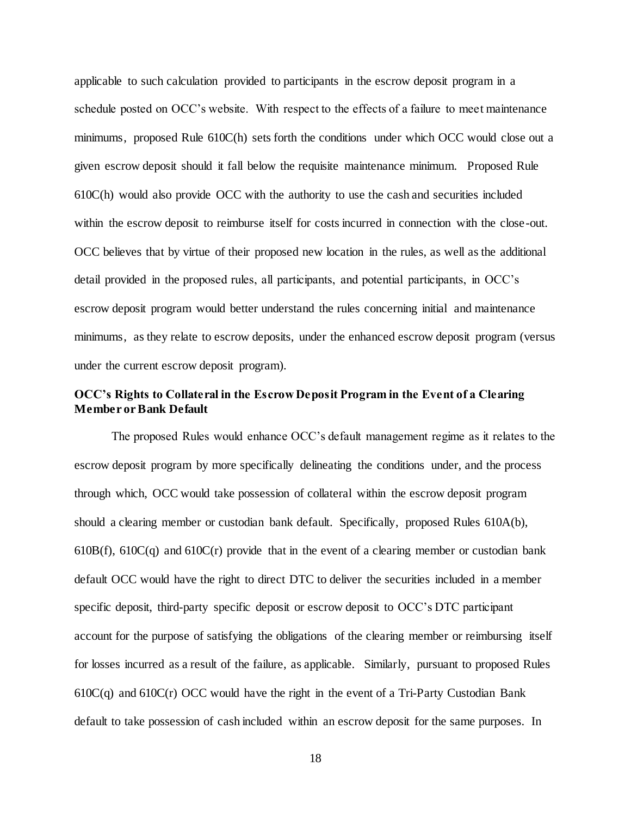applicable to such calculation provided to participants in the escrow deposit program in a schedule posted on OCC's website. With respect to the effects of a failure to meet maintenance minimums, proposed Rule 610C(h) sets forth the conditions under which OCC would close out a given escrow deposit should it fall below the requisite maintenance minimum. Proposed Rule 610C(h) would also provide OCC with the authority to use the cash and securities included within the escrow deposit to reimburse itself for costs incurred in connection with the close-out. OCC believes that by virtue of their proposed new location in the rules, as well as the additional detail provided in the proposed rules, all participants, and potential participants, in OCC's escrow deposit program would better understand the rules concerning initial and maintenance minimums, as they relate to escrow deposits, under the enhanced escrow deposit program (versus under the current escrow deposit program).

# **OCC's Rights to Collateral in the Escrow Deposit Program in the Event of a Clearing Member or Bank Default**

The proposed Rules would enhance OCC's default management regime as it relates to the escrow deposit program by more specifically delineating the conditions under, and the process through which, OCC would take possession of collateral within the escrow deposit program should a clearing member or custodian bank default. Specifically, proposed Rules 610A(b), 610B(f), 610C(q) and 610C(r) provide that in the event of a clearing member or custodian bank default OCC would have the right to direct DTC to deliver the securities included in a member specific deposit, third-party specific deposit or escrow deposit to OCC's DTC participant account for the purpose of satisfying the obligations of the clearing member or reimbursing itself for losses incurred as a result of the failure, as applicable. Similarly, pursuant to proposed Rules  $610C(q)$  and  $610C(r)$  OCC would have the right in the event of a Tri-Party Custodian Bank default to take possession of cash included within an escrow deposit for the same purposes. In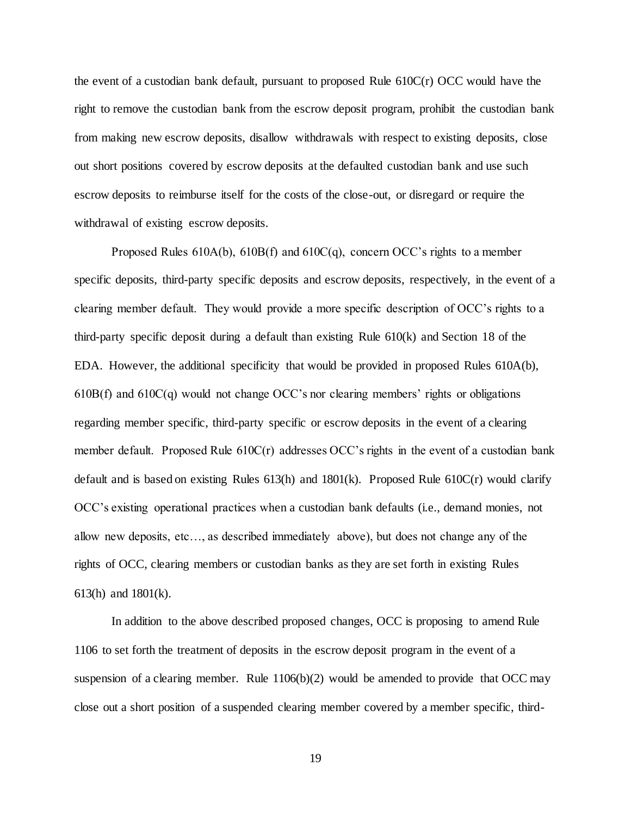the event of a custodian bank default, pursuant to proposed Rule 610C(r) OCC would have the right to remove the custodian bank from the escrow deposit program, prohibit the custodian bank from making new escrow deposits, disallow withdrawals with respect to existing deposits, close out short positions covered by escrow deposits at the defaulted custodian bank and use such escrow deposits to reimburse itself for the costs of the close-out, or disregard or require the withdrawal of existing escrow deposits.

Proposed Rules 610A(b), 610B(f) and 610C(q), concern OCC's rights to a member specific deposits, third-party specific deposits and escrow deposits, respectively, in the event of a clearing member default. They would provide a more specific description of OCC's rights to a third-party specific deposit during a default than existing Rule 610(k) and Section 18 of the EDA. However, the additional specificity that would be provided in proposed Rules 610A(b), 610B(f) and 610C(q) would not change OCC's nor clearing members' rights or obligations regarding member specific, third-party specific or escrow deposits in the event of a clearing member default. Proposed Rule 610C(r) addresses OCC's rights in the event of a custodian bank default and is based on existing Rules  $613(h)$  and  $1801(k)$ . Proposed Rule  $610C(r)$  would clarify OCC's existing operational practices when a custodian bank defaults (i.e., demand monies, not allow new deposits, etc…, as described immediately above), but does not change any of the rights of OCC, clearing members or custodian banks as they are set forth in existing Rules 613(h) and 1801(k).

In addition to the above described proposed changes, OCC is proposing to amend Rule 1106 to set forth the treatment of deposits in the escrow deposit program in the event of a suspension of a clearing member. Rule  $1106(b)(2)$  would be amended to provide that OCC may close out a short position of a suspended clearing member covered by a member specific, third-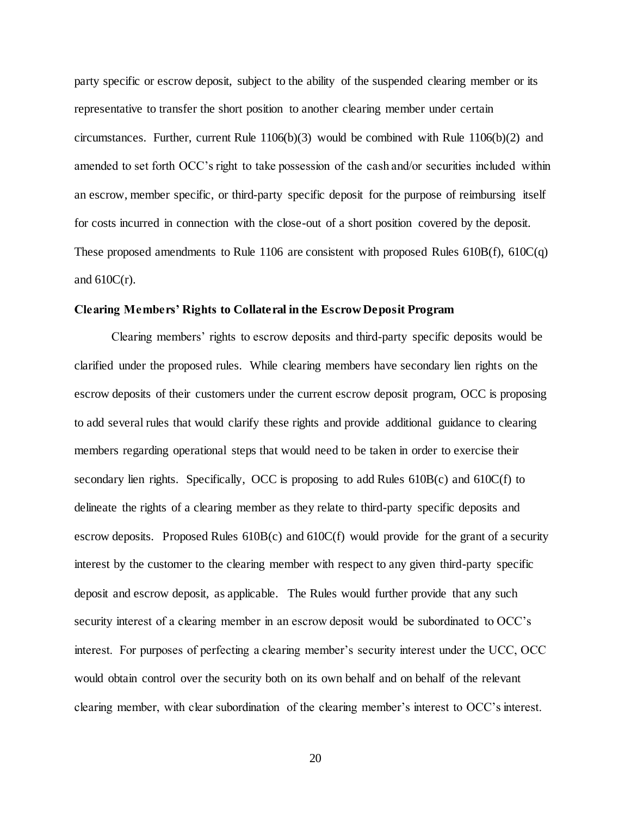party specific or escrow deposit, subject to the ability of the suspended clearing member or its representative to transfer the short position to another clearing member under certain circumstances. Further, current Rule 1106(b)(3) would be combined with Rule 1106(b)(2) and amended to set forth OCC's right to take possession of the cash and/or securities included within an escrow, member specific, or third-party specific deposit for the purpose of reimbursing itself for costs incurred in connection with the close-out of a short position covered by the deposit. These proposed amendments to Rule 1106 are consistent with proposed Rules 610B(f), 610C(q) and  $610C(r)$ .

### **Clearing Members' Rights to Collateral in the Escrow Deposit Program**

Clearing members' rights to escrow deposits and third-party specific deposits would be clarified under the proposed rules. While clearing members have secondary lien rights on the escrow deposits of their customers under the current escrow deposit program, OCC is proposing to add several rules that would clarify these rights and provide additional guidance to clearing members regarding operational steps that would need to be taken in order to exercise their secondary lien rights. Specifically, OCC is proposing to add Rules  $610B(c)$  and  $610C(f)$  to delineate the rights of a clearing member as they relate to third-party specific deposits and escrow deposits. Proposed Rules 610B(c) and 610C(f) would provide for the grant of a security interest by the customer to the clearing member with respect to any given third-party specific deposit and escrow deposit, as applicable. The Rules would further provide that any such security interest of a clearing member in an escrow deposit would be subordinated to OCC's interest. For purposes of perfecting a clearing member's security interest under the UCC, OCC would obtain control over the security both on its own behalf and on behalf of the relevant clearing member, with clear subordination of the clearing member's interest to OCC's interest.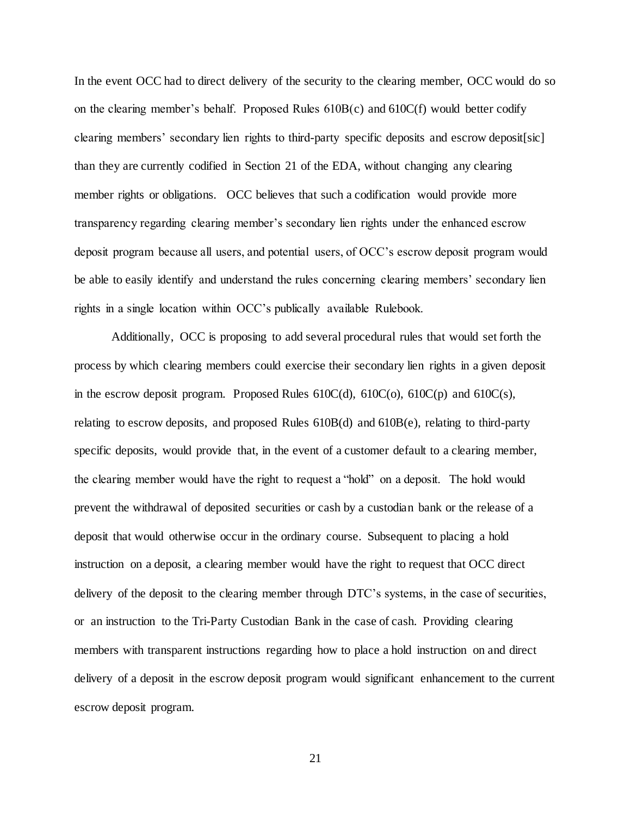In the event OCC had to direct delivery of the security to the clearing member, OCC would do so on the clearing member's behalf. Proposed Rules 610B(c) and 610C(f) would better codify clearing members' secondary lien rights to third-party specific deposits and escrow deposit[sic] than they are currently codified in Section 21 of the EDA, without changing any clearing member rights or obligations. OCC believes that such a codification would provide more transparency regarding clearing member's secondary lien rights under the enhanced escrow deposit program because all users, and potential users, of OCC's escrow deposit program would be able to easily identify and understand the rules concerning clearing members' secondary lien rights in a single location within OCC's publically available Rulebook.

Additionally, OCC is proposing to add several procedural rules that would set forth the process by which clearing members could exercise their secondary lien rights in a given deposit in the escrow deposit program. Proposed Rules  $610C(d)$ ,  $610C(o)$ ,  $610C(p)$  and  $610C(s)$ , relating to escrow deposits, and proposed Rules 610B(d) and 610B(e), relating to third-party specific deposits, would provide that, in the event of a customer default to a clearing member, the clearing member would have the right to request a "hold" on a deposit. The hold would prevent the withdrawal of deposited securities or cash by a custodian bank or the release of a deposit that would otherwise occur in the ordinary course. Subsequent to placing a hold instruction on a deposit, a clearing member would have the right to request that OCC direct delivery of the deposit to the clearing member through DTC's systems, in the case of securities, or an instruction to the Tri-Party Custodian Bank in the case of cash. Providing clearing members with transparent instructions regarding how to place a hold instruction on and direct delivery of a deposit in the escrow deposit program would significant enhancement to the current escrow deposit program.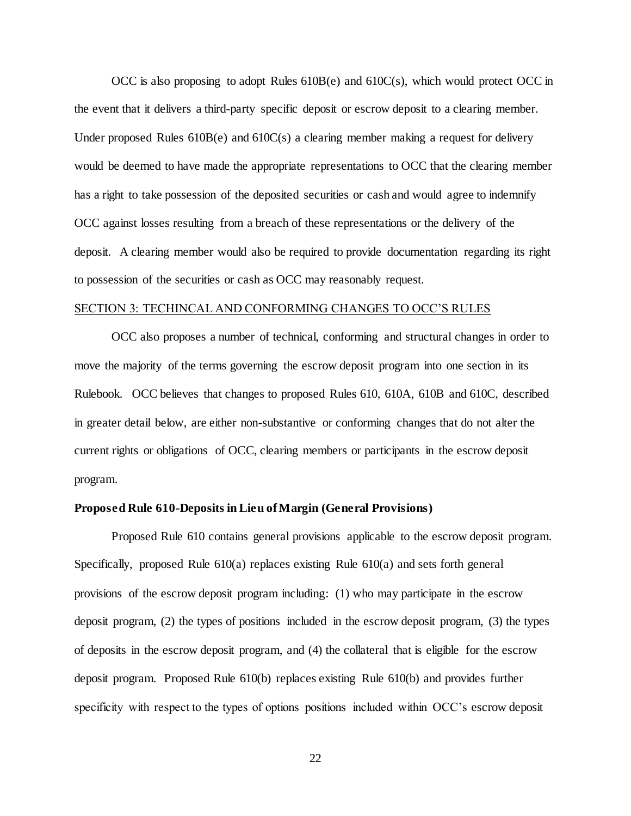OCC is also proposing to adopt Rules 610B(e) and 610C(s), which would protect OCC in the event that it delivers a third-party specific deposit or escrow deposit to a clearing member. Under proposed Rules  $610B(e)$  and  $610C(s)$  a clearing member making a request for delivery would be deemed to have made the appropriate representations to OCC that the clearing member has a right to take possession of the deposited securities or cash and would agree to indemnify OCC against losses resulting from a breach of these representations or the delivery of the deposit. A clearing member would also be required to provide documentation regarding its right to possession of the securities or cash as OCC may reasonably request.

#### SECTION 3: TECHINCAL AND CONFORMING CHANGES TO OCC'S RULES

OCC also proposes a number of technical, conforming and structural changes in order to move the majority of the terms governing the escrow deposit program into one section in its Rulebook. OCC believes that changes to proposed Rules 610, 610A, 610B and 610C, described in greater detail below, are either non-substantive or conforming changes that do not alter the current rights or obligations of OCC, clearing members or participants in the escrow deposit program.

### **Proposed Rule 610-Deposits in Lieu of Margin (General Provisions)**

Proposed Rule 610 contains general provisions applicable to the escrow deposit program. Specifically, proposed Rule  $610(a)$  replaces existing Rule  $610(a)$  and sets forth general provisions of the escrow deposit program including: (1) who may participate in the escrow deposit program, (2) the types of positions included in the escrow deposit program, (3) the types of deposits in the escrow deposit program, and (4) the collateral that is eligible for the escrow deposit program. Proposed Rule 610(b) replaces existing Rule 610(b) and provides further specificity with respect to the types of options positions included within OCC's escrow deposit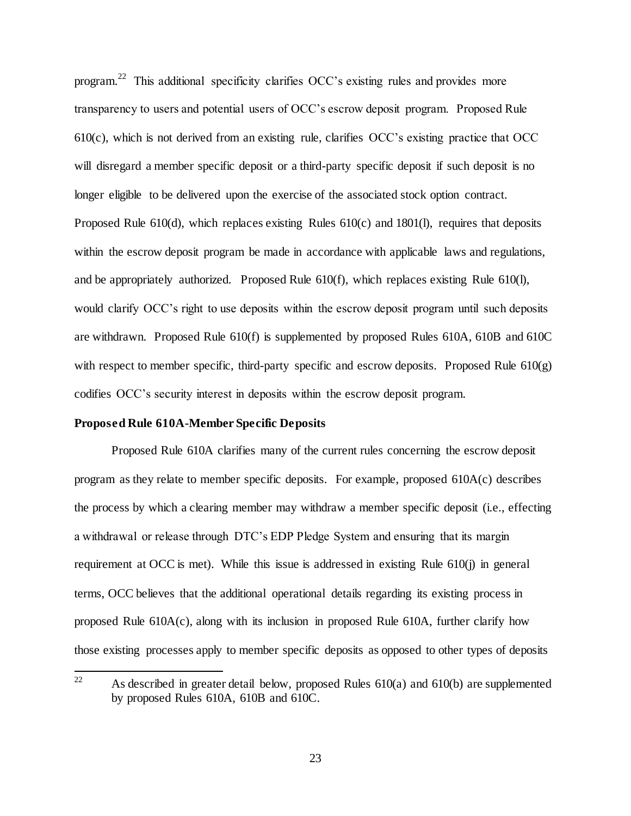program.<sup>22</sup> This additional specificity clarifies OCC's existing rules and provides more transparency to users and potential users of OCC's escrow deposit program. Proposed Rule  $610(c)$ , which is not derived from an existing rule, clarifies OCC's existing practice that OCC will disregard a member specific deposit or a third-party specific deposit if such deposit is no longer eligible to be delivered upon the exercise of the associated stock option contract. Proposed Rule 610(d), which replaces existing Rules 610(c) and 1801(l), requires that deposits within the escrow deposit program be made in accordance with applicable laws and regulations, and be appropriately authorized. Proposed Rule 610(f), which replaces existing Rule 610(l), would clarify OCC's right to use deposits within the escrow deposit program until such deposits are withdrawn. Proposed Rule 610(f) is supplemented by proposed Rules 610A, 610B and 610C with respect to member specific, third-party specific and escrow deposits. Proposed Rule  $610(g)$ codifies OCC's security interest in deposits within the escrow deposit program.

### **Proposed Rule 610A-Member Specific Deposits**

Proposed Rule 610A clarifies many of the current rules concerning the escrow deposit program as they relate to member specific deposits. For example, proposed 610A(c) describes the process by which a clearing member may withdraw a member specific deposit (i.e., effecting a withdrawal or release through DTC's EDP Pledge System and ensuring that its margin requirement at OCC is met). While this issue is addressed in existing Rule 610(j) in general terms, OCC believes that the additional operational details regarding its existing process in proposed Rule 610A(c), along with its inclusion in proposed Rule 610A, further clarify how those existing processes apply to member specific deposits as opposed to other types of deposits

 $22$ As described in greater detail below, proposed Rules  $610(a)$  and  $610(b)$  are supplemented by proposed Rules 610A, 610B and 610C.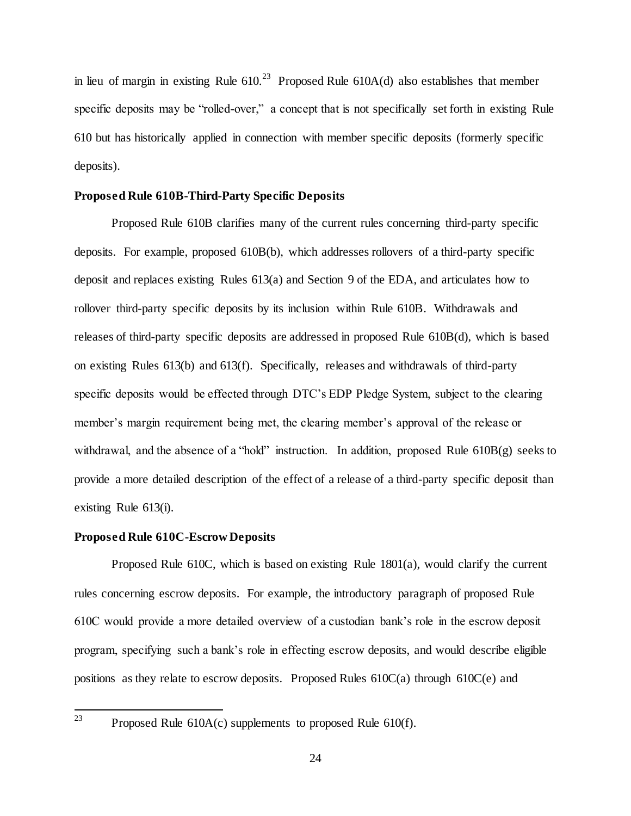in lieu of margin in existing Rule  $610.^{23}$  Proposed Rule  $610A(d)$  also establishes that member specific deposits may be "rolled-over," a concept that is not specifically set forth in existing Rule 610 but has historically applied in connection with member specific deposits (formerly specific deposits).

### **Proposed Rule 610B-Third-Party Specific Deposits**

Proposed Rule 610B clarifies many of the current rules concerning third-party specific deposits. For example, proposed 610B(b), which addresses rollovers of a third-party specific deposit and replaces existing Rules 613(a) and Section 9 of the EDA, and articulates how to rollover third-party specific deposits by its inclusion within Rule 610B. Withdrawals and releases of third-party specific deposits are addressed in proposed Rule 610B(d), which is based on existing Rules 613(b) and 613(f). Specifically, releases and withdrawals of third-party specific deposits would be effected through DTC's EDP Pledge System, subject to the clearing member's margin requirement being met, the clearing member's approval of the release or withdrawal, and the absence of a "hold" instruction. In addition, proposed Rule  $610B(g)$  seeks to provide a more detailed description of the effect of a release of a third-party specific deposit than existing Rule 613(i).

### **Proposed Rule 610C-Escrow Deposits**

Proposed Rule 610C, which is based on existing Rule 1801(a), would clarify the current rules concerning escrow deposits. For example, the introductory paragraph of proposed Rule 610C would provide a more detailed overview of a custodian bank's role in the escrow deposit program, specifying such a bank's role in effecting escrow deposits, and would describe eligible positions as they relate to escrow deposits. Proposed Rules 610C(a) through 610C(e) and

Proposed Rule  $610A(c)$  supplements to proposed Rule  $610(f)$ .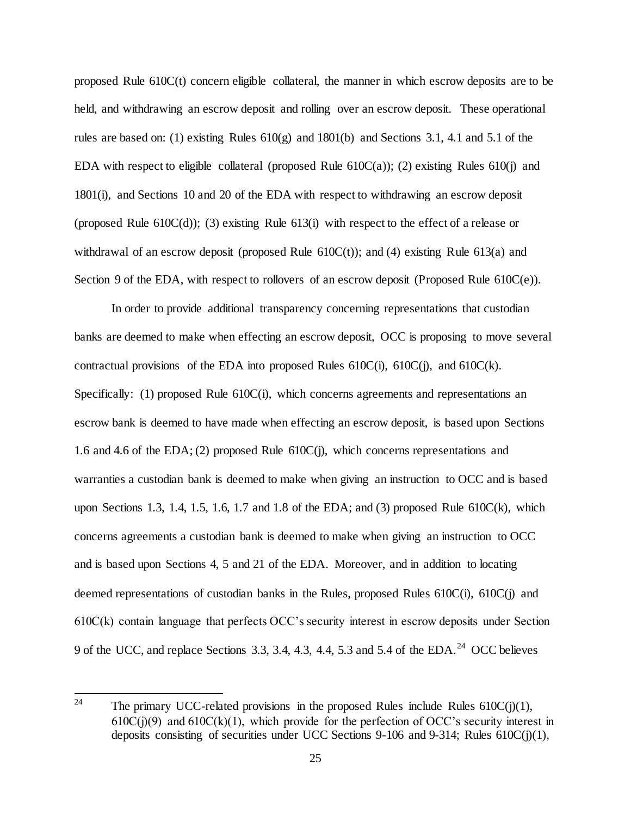proposed Rule 610C(t) concern eligible collateral, the manner in which escrow deposits are to be held, and withdrawing an escrow deposit and rolling over an escrow deposit. These operational rules are based on: (1) existing Rules 610(g) and 1801(b) and Sections 3.1, 4.1 and 5.1 of the EDA with respect to eligible collateral (proposed Rule  $610C(a)$ ); (2) existing Rules  $610(i)$  and 1801(i), and Sections 10 and 20 of the EDA with respect to withdrawing an escrow deposit (proposed Rule 610C(d)); (3) existing Rule 613(i) with respect to the effect of a release or withdrawal of an escrow deposit (proposed Rule  $610C(t)$ ); and (4) existing Rule  $613(a)$  and Section 9 of the EDA, with respect to rollovers of an escrow deposit (Proposed Rule 610C(e)).

In order to provide additional transparency concerning representations that custodian banks are deemed to make when effecting an escrow deposit, OCC is proposing to move several contractual provisions of the EDA into proposed Rules  $610C(i)$ ,  $610C(i)$ , and  $610C(k)$ . Specifically: (1) proposed Rule 610C(i), which concerns agreements and representations an escrow bank is deemed to have made when effecting an escrow deposit, is based upon Sections 1.6 and 4.6 of the EDA; (2) proposed Rule 610C(j), which concerns representations and warranties a custodian bank is deemed to make when giving an instruction to OCC and is based upon Sections 1.3, 1.4, 1.5, 1.6, 1.7 and 1.8 of the EDA; and (3) proposed Rule  $610C(k)$ , which concerns agreements a custodian bank is deemed to make when giving an instruction to OCC and is based upon Sections 4, 5 and 21 of the EDA. Moreover, and in addition to locating deemed representations of custodian banks in the Rules, proposed Rules 610C(i), 610C(j) and 610C(k) contain language that perfects OCC's security interest in escrow deposits under Section 9 of the UCC, and replace Sections 3.3, 3.4, 4.3, 4.4, 5.3 and 5.4 of the EDA.<sup>24</sup> OCC believes

<sup>24</sup> The primary UCC-related provisions in the proposed Rules include Rules  $610C(i)(1)$ ,  $610C(j)(9)$  and  $610C(k)(1)$ , which provide for the perfection of OCC's security interest in deposits consisting of securities under UCC Sections 9-106 and 9-314; Rules 610C(j)(1),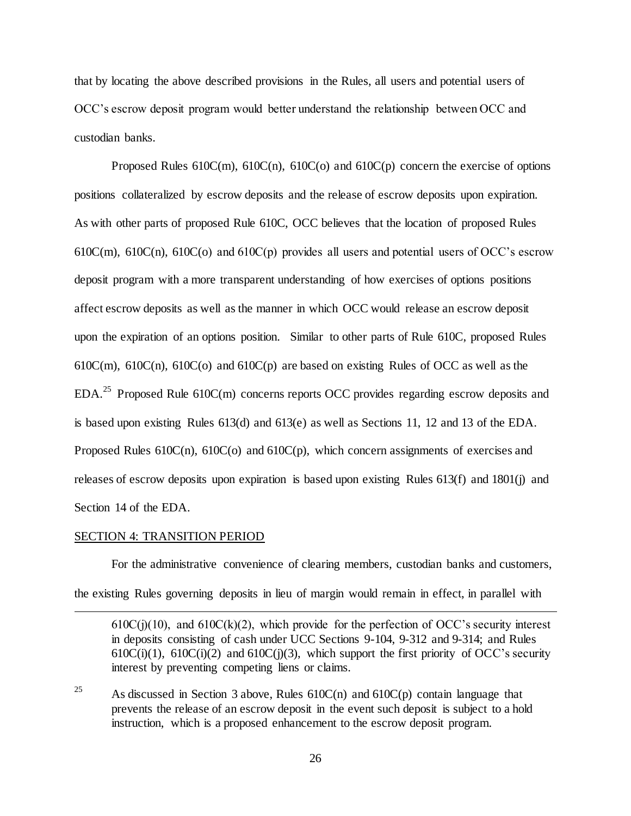that by locating the above described provisions in the Rules, all users and potential users of OCC's escrow deposit program would better understand the relationship between OCC and custodian banks.

Proposed Rules  $610C(m)$ ,  $610C(n)$ ,  $610C(o)$  and  $610C(p)$  concern the exercise of options positions collateralized by escrow deposits and the release of escrow deposits upon expiration. As with other parts of proposed Rule 610C, OCC believes that the location of proposed Rules 610 $C(m)$ , 610 $C(n)$ , 610 $C(o)$  and 610 $C(p)$  provides all users and potential users of OCC's escrow deposit program with a more transparent understanding of how exercises of options positions affect escrow deposits as well as the manner in which OCC would release an escrow deposit upon the expiration of an options position. Similar to other parts of Rule 610C, proposed Rules  $610C(m)$ ,  $610C(n)$ ,  $610C(o)$  and  $610C(p)$  are based on existing Rules of OCC as well as the  $EDA<sup>25</sup>$  Proposed Rule 610C(m) concerns reports OCC provides regarding escrow deposits and is based upon existing Rules 613(d) and 613(e) as well as Sections 11, 12 and 13 of the EDA. Proposed Rules 610C(n), 610C(o) and 610C(p), which concern assignments of exercises and releases of escrow deposits upon expiration is based upon existing Rules 613(f) and 1801(j) and Section 14 of the EDA.

#### SECTION 4: TRANSITION PERIOD

l

For the administrative convenience of clearing members, custodian banks and customers, the existing Rules governing deposits in lieu of margin would remain in effect, in parallel with

 $610C(j)(10)$ , and  $610C(k)(2)$ , which provide for the perfection of OCC's security interest in deposits consisting of cash under UCC Sections 9-104, 9-312 and 9-314; and Rules  $610C(i)(1)$ ,  $610C(i)(2)$  and  $610C(i)(3)$ , which support the first priority of OCC's security interest by preventing competing liens or claims.

<sup>25</sup> As discussed in Section 3 above, Rules  $610C(n)$  and  $610C(p)$  contain language that prevents the release of an escrow deposit in the event such deposit is subject to a hold instruction, which is a proposed enhancement to the escrow deposit program.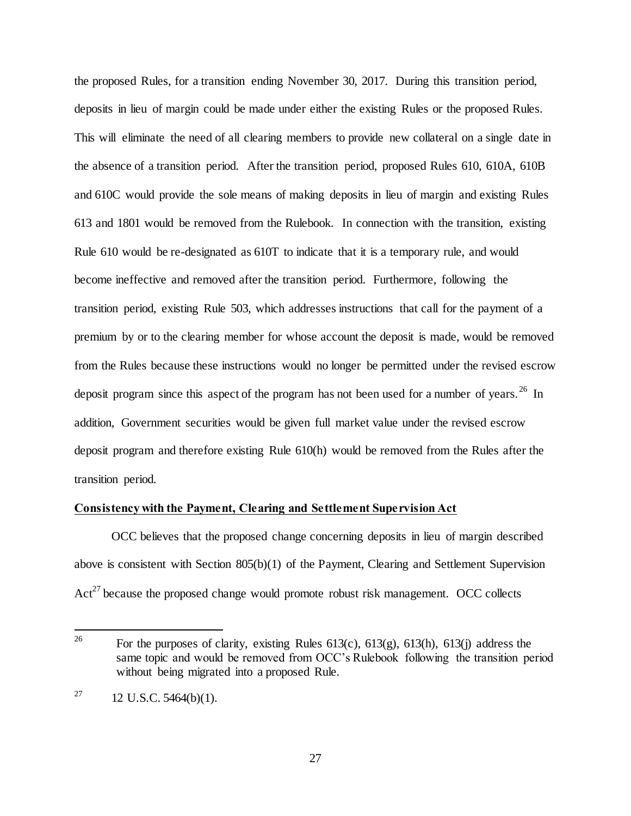the proposed Rules, for a transition ending November 30, 2017. During this transition period, deposits in lieu of margin could be made under either the existing Rules or the proposed Rules. This will eliminate the need of all clearing members to provide new collateral on a single date in the absence of a transition period. After the transition period, proposed Rules 610, 610A, 610B and 610C would provide the sole means of making deposits in lieu of margin and existing Rules 613 and 1801 would be removed from the Rulebook. In connection with the transition, existing Rule 610 would be re-designated as 610T to indicate that it is a temporary rule, and would become ineffective and removed after the transition period. Furthermore, following the transition period, existing Rule 503, which addresses instructions that call for the payment of a premium by or to the clearing member for whose account the deposit is made, would be removed from the Rules because these instructions would no longer be permitted under the revised escrow deposit program since this aspect of the program has not been used for a number of years.<sup>26</sup> In addition, Government securities would be given full market value under the revised escrow deposit program and therefore existing Rule 610(h) would be removed from the Rules after the transition period.

### **Consistency with the Payment, Clearing and Settlement Supervision Act**

OCC believes that the proposed change concerning deposits in lieu of margin described above is consistent with Section 805(b)(1) of the Payment, Clearing and Settlement Supervision  $Act^{27}$  because the proposed change would promote robust risk management. OCC collects

<sup>26</sup> For the purposes of clarity, existing Rules  $613(c)$ ,  $613(g)$ ,  $613(h)$ ,  $613(i)$  address the same topic and would be removed from OCC's Rulebook following the transition period without being migrated into a proposed Rule.

<sup>&</sup>lt;sup>27</sup> 12 U.S.C. 5464(b)(1).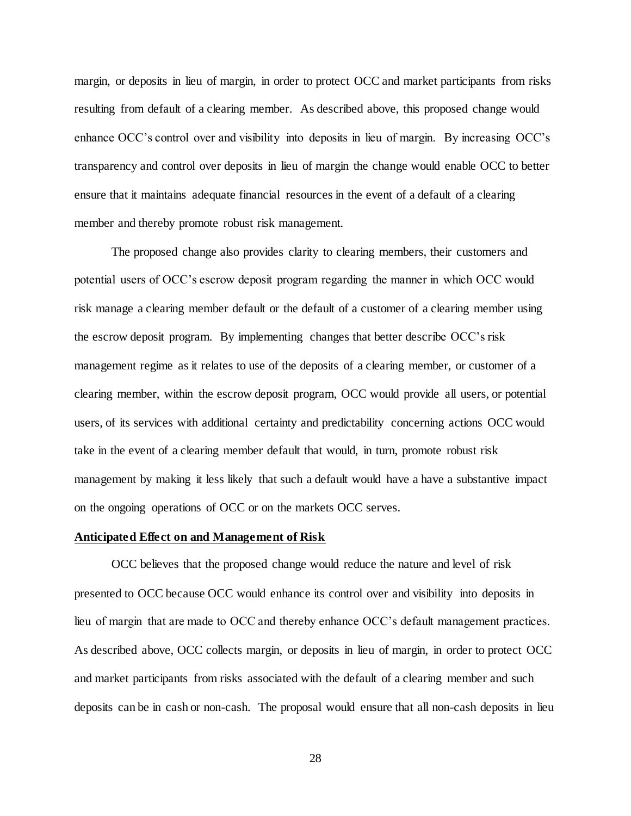margin, or deposits in lieu of margin, in order to protect OCC and market participants from risks resulting from default of a clearing member. As described above, this proposed change would enhance OCC's control over and visibility into deposits in lieu of margin. By increasing OCC's transparency and control over deposits in lieu of margin the change would enable OCC to better ensure that it maintains adequate financial resources in the event of a default of a clearing member and thereby promote robust risk management.

The proposed change also provides clarity to clearing members, their customers and potential users of OCC's escrow deposit program regarding the manner in which OCC would risk manage a clearing member default or the default of a customer of a clearing member using the escrow deposit program. By implementing changes that better describe OCC's risk management regime as it relates to use of the deposits of a clearing member, or customer of a clearing member, within the escrow deposit program, OCC would provide all users, or potential users, of its services with additional certainty and predictability concerning actions OCC would take in the event of a clearing member default that would, in turn, promote robust risk management by making it less likely that such a default would have a have a substantive impact on the ongoing operations of OCC or on the markets OCC serves.

### **Anticipated Effect on and Management of Risk**

OCC believes that the proposed change would reduce the nature and level of risk presented to OCC because OCC would enhance its control over and visibility into deposits in lieu of margin that are made to OCC and thereby enhance OCC's default management practices. As described above, OCC collects margin, or deposits in lieu of margin, in order to protect OCC and market participants from risks associated with the default of a clearing member and such deposits can be in cash or non-cash. The proposal would ensure that all non-cash deposits in lieu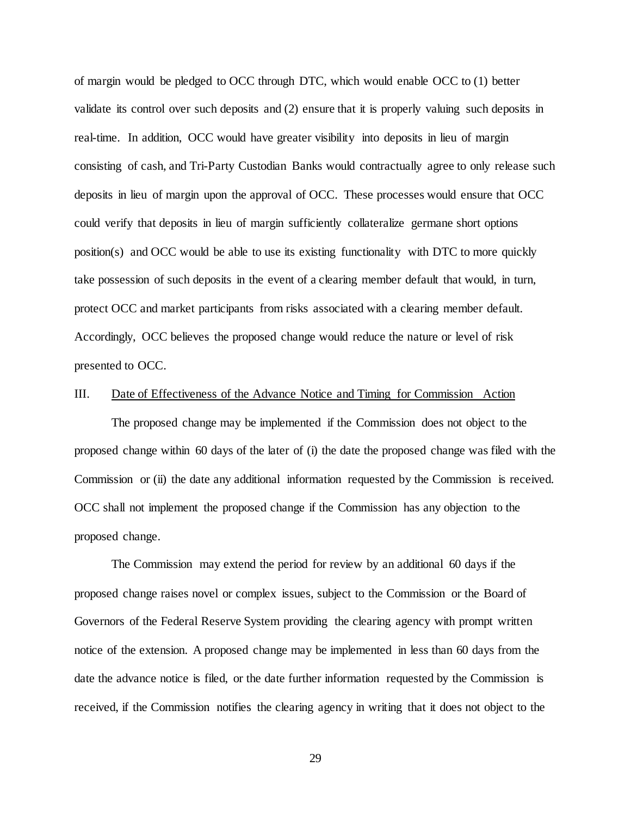of margin would be pledged to OCC through DTC, which would enable OCC to (1) better validate its control over such deposits and (2) ensure that it is properly valuing such deposits in real-time. In addition, OCC would have greater visibility into deposits in lieu of margin consisting of cash, and Tri-Party Custodian Banks would contractually agree to only release such deposits in lieu of margin upon the approval of OCC. These processes would ensure that OCC could verify that deposits in lieu of margin sufficiently collateralize germane short options position(s) and OCC would be able to use its existing functionality with DTC to more quickly take possession of such deposits in the event of a clearing member default that would, in turn, protect OCC and market participants from risks associated with a clearing member default. Accordingly, OCC believes the proposed change would reduce the nature or level of risk presented to OCC.

## III. Date of Effectiveness of the Advance Notice and Timing for Commission Action

The proposed change may be implemented if the Commission does not object to the proposed change within 60 days of the later of (i) the date the proposed change was filed with the Commission or (ii) the date any additional information requested by the Commission is received. OCC shall not implement the proposed change if the Commission has any objection to the proposed change.

The Commission may extend the period for review by an additional 60 days if the proposed change raises novel or complex issues, subject to the Commission or the Board of Governors of the Federal Reserve System providing the clearing agency with prompt written notice of the extension. A proposed change may be implemented in less than 60 days from the date the advance notice is filed, or the date further information requested by the Commission is received, if the Commission notifies the clearing agency in writing that it does not object to the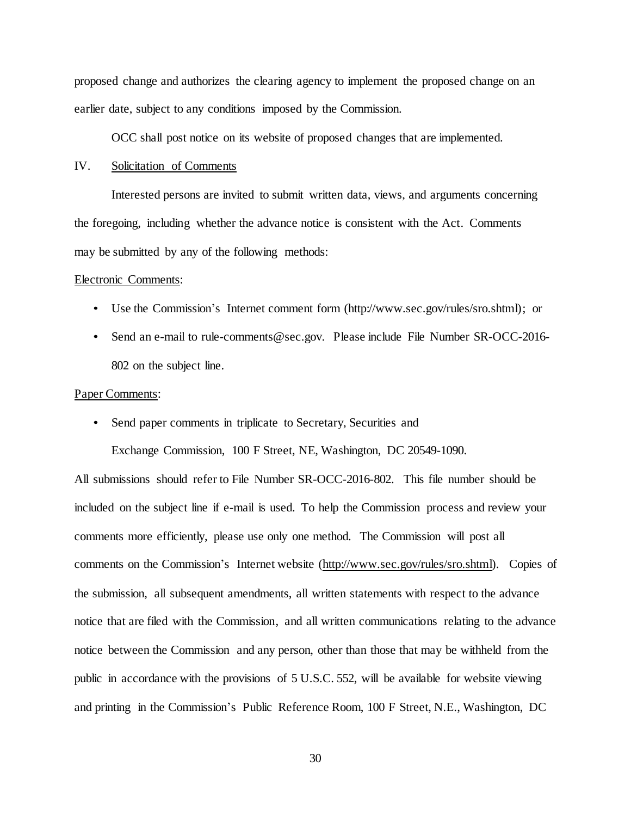proposed change and authorizes the clearing agency to implement the proposed change on an earlier date, subject to any conditions imposed by the Commission.

OCC shall post notice on its website of proposed changes that are implemented.

# IV. Solicitation of Comments

Interested persons are invited to submit written data, views, and arguments concerning the foregoing, including whether the advance notice is consistent with the Act. Comments may be submitted by any of the following methods:

#### Electronic Comments:

- Use the Commission's Internet comment form (http://www.sec.gov/rules/sro.shtml); or
- Send an e-mail to rule-comments@sec.gov. Please include File Number SR-OCC-2016- 802 on the subject line.

#### Paper Comments:

• Send paper comments in triplicate to Secretary, Securities and

Exchange Commission, 100 F Street, NE, Washington, DC 20549-1090.

All submissions should refer to File Number SR-OCC-2016-802. This file number should be included on the subject line if e-mail is used. To help the Commission process and review your comments more efficiently, please use only one method. The Commission will post all comments on the Commission's Internet website (http://www.sec.gov/rules/sro.shtml). Copies of the submission, all subsequent amendments, all written statements with respect to the advance notice that are filed with the Commission, and all written communications relating to the advance notice between the Commission and any person, other than those that may be withheld from the public in accordance with the provisions of 5 U.S.C. 552, will be available for website viewing and printing in the Commission's Public Reference Room, 100 F Street, N.E., Washington, DC